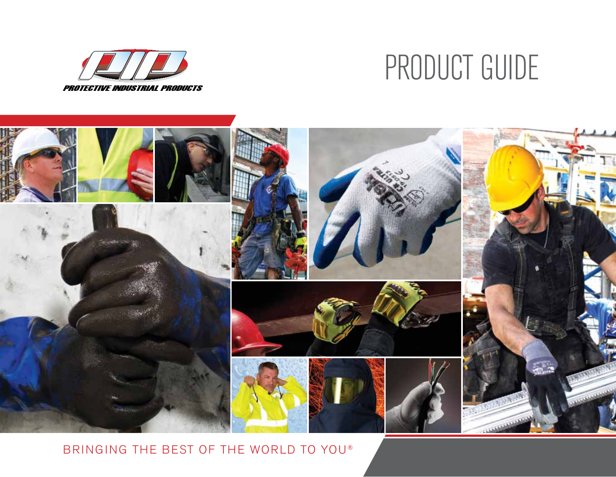

# PRODUCT GUIDE



BRINGING THE BEST OF THE WORLD TO YOU®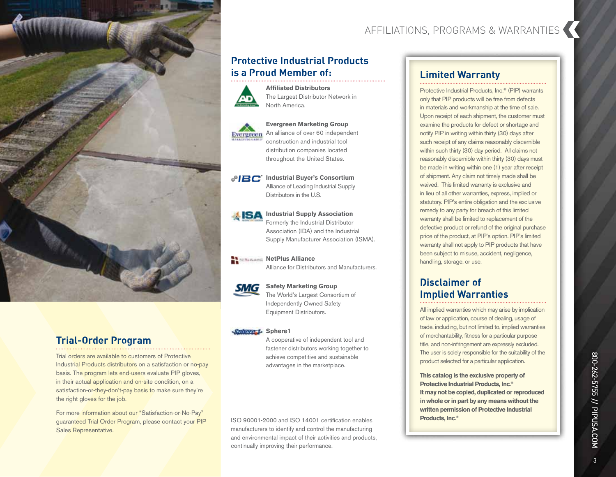

## **Trial-Order Program**

Trial orders are available to customers of Protective Industrial Products distributors on a satisfaction or no-pay basis. The program lets end-users evaluate PIP gloves, in their actual application and on-site condition, on a satisfaction-or-they-don't-pay basis to make sure they're the right gloves for the job.

For more information about our "Satisfaction-or-No-Pay" guaranteed Trial Order Program, please contact your PIP Sales Representative.

## AFFILIATIONS, PROGRAMS & WARRANTIES

## **Protective Industrial Products is a Proud Member of:**

**Affiliated Distributors**





**Evergreen Marketing Group** An alliance of over 60 independent

construction and industrial tool distribution companies located throughout the United States.

#### **IBC** Industrial Buyer's Consortium Alliance of Leading Industrial Supply Distributors in the U.S.



**Industrial Supply Association** Formerly the Industrial Distributor Association (IDA) and the Industrial Supply Manufacturer Association (ISMA).



**NetPlus Alliance** Alliance for Distributors and Manufacturers.

#### **Safety Marketing Group** The World's Largest Consortium of Independently Owned Safety Equipment Distributors.

#### Sphere<sub>1</sub> Sphere1

A cooperative of independent tool and fastener distributors working together to achieve competitive and sustainable advantages in the marketplace.

ISO 90001-2000 and ISO 14001 certification enables manufacturers to identify and control the manufacturing and environmental impact of their activities and products, continually improving their performance.

## **Limited Warranty**

Protective Industrial Products, Inc.® (PIP) warrants only that PIP products will be free from defects in materials and workmanship at the time of sale. Upon receipt of each shipment, the customer must examine the products for defect or shortage and notify PIP in writing within thirty (30) days after such receipt of any claims reasonably discernible within such thirty (30) day period. All claims not reasonably discernible within thirty (30) days must be made in writing within one (1) year after receipt of shipment. Any claim not timely made shall be waived. This limited warranty is exclusive and in lieu of all other warranties, express, implied or statutory. PIP's entire obligation and the exclusive remedy to any party for breach of this limited warranty shall be limited to replacement of the defective product or refund of the original purchase price of the product, at PIP's option. PIP's limited warranty shall not apply to PIP products that have been subject to misuse, accident, negligence, handling, storage, or use.

## **Disclaimer of Implied Warranties**

All implied warranties which may arise by implication of law or application, course of dealing, usage of trade, including, but not limited to, implied warranties of merchantability, fitness for a particular purpose title, and non-infringement are expressly excluded. The user is solely responsible for the suitability of the product selected for a particular application.

**This catalog is the exclusive property of Protective Industrial Products, Inc.® It may not be copied, duplicated or reproduced in whole or in part by any means without the written permission of Protective Industrial Products, Inc.®**